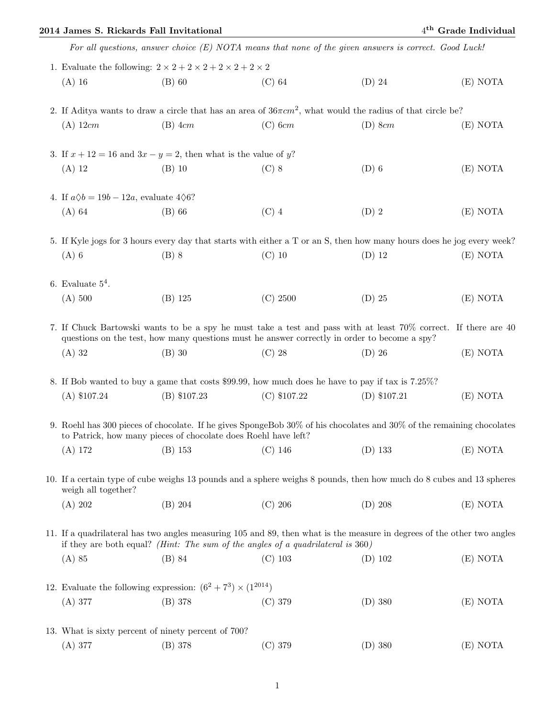## 2014 James S. Rickards Fall Invitational 4

|  |                                                                                                                                                                                                                       | For all questions, answer choice $(E)$ NOTA means that none of the given answers is correct. Good Luck! |                |                |          |  |  |
|--|-----------------------------------------------------------------------------------------------------------------------------------------------------------------------------------------------------------------------|---------------------------------------------------------------------------------------------------------|----------------|----------------|----------|--|--|
|  | 1. Evaluate the following: $2 \times 2 + 2 \times 2 + 2 \times 2 + 2 \times 2$                                                                                                                                        |                                                                                                         |                |                |          |  |  |
|  | $(A)$ 16                                                                                                                                                                                                              | $(B)$ 60                                                                                                | $(C)$ 64       | $(D)$ 24       | (E) NOTA |  |  |
|  | 2. If Aditya wants to draw a circle that has an area of $36\pi cm^2$ , what would the radius of that circle be?                                                                                                       |                                                                                                         |                |                |          |  |  |
|  | $(A)$ 12cm                                                                                                                                                                                                            | $(B)$ 4 $cm$                                                                                            | $(C)$ 6 $cm$   | $(D)$ 8 $cm$   | (E) NOTA |  |  |
|  | 3. If $x + 12 = 16$ and $3x - y = 2$ , then what is the value of y?                                                                                                                                                   |                                                                                                         |                |                |          |  |  |
|  | $(A)$ 12                                                                                                                                                                                                              | $(B)$ 10                                                                                                | $(C)$ 8        | $(D)$ 6        | (E) NOTA |  |  |
|  | 4. If $a\Diamond b = 19b - 12a$ , evaluate $4\Diamond 6$ ?                                                                                                                                                            |                                                                                                         |                |                |          |  |  |
|  | $(A)$ 64                                                                                                                                                                                                              | $(B)$ 66                                                                                                | $(C)$ 4        | $(D)$ 2        | (E) NOTA |  |  |
|  | 5. If Kyle jogs for 3 hours every day that starts with either a T or an S, then how many hours does he jog every week?                                                                                                |                                                                                                         |                |                |          |  |  |
|  | $(A)$ 6                                                                                                                                                                                                               | $(B)$ 8                                                                                                 | $(C)$ 10       | $(D)$ 12       | (E) NOTA |  |  |
|  | 6. Evaluate $5^4$ .                                                                                                                                                                                                   |                                                                                                         |                |                |          |  |  |
|  | (A) 500                                                                                                                                                                                                               | $(B)$ 125                                                                                               | (C) 2500       | $(D)$ 25       | (E) NOTA |  |  |
|  | 7. If Chuck Bartowski wants to be a spy he must take a test and pass with at least 70% correct. If there are 40<br>questions on the test, how many questions must he answer correctly in order to become a spy?       |                                                                                                         |                |                |          |  |  |
|  | $(A)$ 32                                                                                                                                                                                                              | $(B)$ 30                                                                                                | $(C)$ 28       | $(D)$ 26       | (E) NOTA |  |  |
|  | 8. If Bob wanted to buy a game that costs \$99.99, how much does he have to pay if tax is 7.25%?                                                                                                                      |                                                                                                         |                |                |          |  |  |
|  | $(A)$ \$107.24                                                                                                                                                                                                        | $(B)$ \$107.23                                                                                          | $(C)$ \$107.22 | $(D)$ \$107.21 | (E) NOTA |  |  |
|  | 9. Roehl has 300 pieces of chocolate. If he gives SpongeBob 30% of his chocolates and 30% of the remaining chocolates<br>to Patrick, how many pieces of chocolate does Roehl have left?                               |                                                                                                         |                |                |          |  |  |
|  |                                                                                                                                                                                                                       | (A) 172 		 (B) 153 		 (C) 146                                                                           |                | $(D)$ 133      | (E) NOTA |  |  |
|  | 10. If a certain type of cube weighs 13 pounds and a sphere weighs 8 pounds, then how much do 8 cubes and 13 spheres<br>weigh all together?                                                                           |                                                                                                         |                |                |          |  |  |
|  | (A) 202                                                                                                                                                                                                               | $(B)$ 204                                                                                               | $(C)$ 206      | $(D)$ 208      | (E) NOTA |  |  |
|  | 11. If a quadrilateral has two angles measuring 105 and 89, then what is the measure in degrees of the other two angles<br>if they are both equal? ( <i>Hint: The sum of the angles of a quadrilateral is</i> $360$ ) |                                                                                                         |                |                |          |  |  |
|  | $(A)$ 85                                                                                                                                                                                                              | $(B)$ 84                                                                                                | $(C)$ 103      | $(D)$ 102      | (E) NOTA |  |  |
|  | 12. Evaluate the following expression: $(6^2 + 7^3) \times (1^{2014})$                                                                                                                                                |                                                                                                         |                |                |          |  |  |
|  | (A) 377                                                                                                                                                                                                               | (B) 378                                                                                                 | $(C)$ 379      | $(D)$ 380      | (E) NOTA |  |  |
|  | 13. What is sixty percent of ninety percent of 700?                                                                                                                                                                   |                                                                                                         |                |                |          |  |  |
|  | (A) 377                                                                                                                                                                                                               | (B) 378                                                                                                 | (C) 379        | $(D)$ 380      | (E) NOTA |  |  |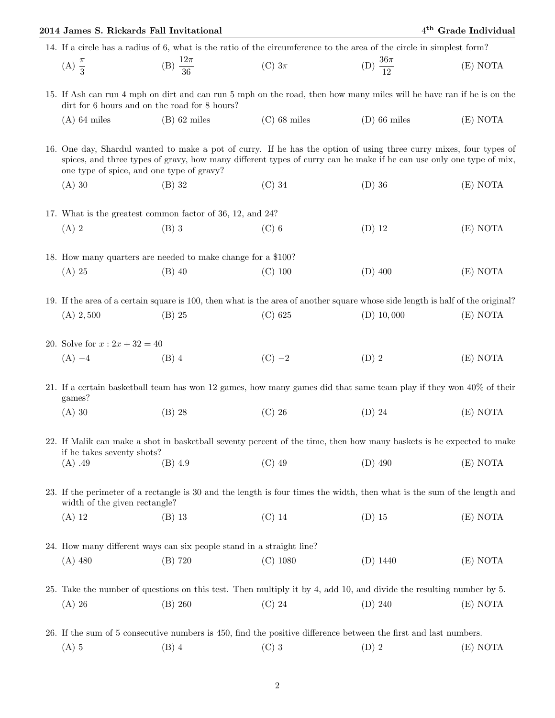| 2014 James S. Rickards Fall Invitational                                                                                                                                                                                                                                               |                                                                      |                                                                                                                                |                        | 4 <sup>th</sup> Grade Individual |  |  |
|----------------------------------------------------------------------------------------------------------------------------------------------------------------------------------------------------------------------------------------------------------------------------------------|----------------------------------------------------------------------|--------------------------------------------------------------------------------------------------------------------------------|------------------------|----------------------------------|--|--|
| 14. If a circle has a radius of 6, what is the ratio of the circumference to the area of the circle in simplest form?                                                                                                                                                                  |                                                                      |                                                                                                                                |                        |                                  |  |  |
| (A) $\frac{\pi}{3}$                                                                                                                                                                                                                                                                    | (B) $\frac{12\pi}{36}$                                               | (C) $3\pi$                                                                                                                     | (D) $\frac{36\pi}{12}$ | (E) NOTA                         |  |  |
| 15. If Ash can run 4 mph on dirt and can run 5 mph on the road, then how many miles will he have ran if he is on the<br>dirt for 6 hours and on the road for 8 hours?                                                                                                                  |                                                                      |                                                                                                                                |                        |                                  |  |  |
| $(A)$ 64 miles                                                                                                                                                                                                                                                                         | $(B)$ 62 miles                                                       | $(C)$ 68 miles                                                                                                                 | $(D)$ 66 miles         | (E) NOTA                         |  |  |
| 16. One day, Shardul wanted to make a pot of curry. If he has the option of using three curry mixes, four types of<br>spices, and three types of gravy, how many different types of curry can he make if he can use only one type of mix,<br>one type of spice, and one type of gravy? |                                                                      |                                                                                                                                |                        |                                  |  |  |
| $(A)$ 30                                                                                                                                                                                                                                                                               | $(B)$ 32                                                             | $(C)$ 34                                                                                                                       | $(D)$ 36               | (E) NOTA                         |  |  |
| 17. What is the greatest common factor of 36, 12, and 24?                                                                                                                                                                                                                              |                                                                      |                                                                                                                                |                        |                                  |  |  |
| $(A)$ 2                                                                                                                                                                                                                                                                                | $(B)$ 3                                                              | $(C)$ 6                                                                                                                        | $(D)$ 12               | (E) NOTA                         |  |  |
| 18. How many quarters are needed to make change for a \$100?                                                                                                                                                                                                                           |                                                                      |                                                                                                                                |                        |                                  |  |  |
| $(A)$ 25                                                                                                                                                                                                                                                                               | $(B)$ 40                                                             | $(C)$ 100                                                                                                                      | $(D)$ 400              | (E) NOTA                         |  |  |
|                                                                                                                                                                                                                                                                                        |                                                                      |                                                                                                                                |                        |                                  |  |  |
|                                                                                                                                                                                                                                                                                        |                                                                      | 19. If the area of a certain square is 100, then what is the area of another square whose side length is half of the original? |                        |                                  |  |  |
| $(A)$ 2,500                                                                                                                                                                                                                                                                            | $(B)$ 25                                                             | (C) 625                                                                                                                        | $(D)$ 10,000           | (E) NOTA                         |  |  |
| 20. Solve for $x: 2x + 32 = 40$                                                                                                                                                                                                                                                        |                                                                      |                                                                                                                                |                        |                                  |  |  |
| $(A) -4$                                                                                                                                                                                                                                                                               | $(B)$ 4                                                              | $(C) -2$                                                                                                                       | $(D)$ 2                | (E) NOTA                         |  |  |
| 21. If a certain basketball team has won 12 games, how many games did that same team play if they won 40% of their<br>games?                                                                                                                                                           |                                                                      |                                                                                                                                |                        |                                  |  |  |
| $(A)$ 30                                                                                                                                                                                                                                                                               | $(B)$ 28                                                             | $(C)$ 26                                                                                                                       | $(D)$ 24               | (E) NOTA                         |  |  |
| 22. If Malik can make a shot in basketball seventy percent of the time, then how many baskets is he expected to make<br>if he takes seventy shots?                                                                                                                                     |                                                                      |                                                                                                                                |                        |                                  |  |  |
| $(A)$ .49                                                                                                                                                                                                                                                                              | $(B)$ 4.9                                                            | $(C)$ 49                                                                                                                       | $(D)$ 490              | (E) NOTA                         |  |  |
| 23. If the perimeter of a rectangle is 30 and the length is four times the width, then what is the sum of the length and<br>width of the given rectangle?                                                                                                                              |                                                                      |                                                                                                                                |                        |                                  |  |  |
| $(A)$ 12                                                                                                                                                                                                                                                                               | $(B)$ 13                                                             | $(C)$ 14                                                                                                                       | $(D)$ 15               | (E) NOTA                         |  |  |
|                                                                                                                                                                                                                                                                                        | 24. How many different ways can six people stand in a straight line? |                                                                                                                                |                        |                                  |  |  |
| $(A)$ 480                                                                                                                                                                                                                                                                              | (B) 720                                                              | $(C)$ 1080                                                                                                                     | $(D)$ 1440             | (E) NOTA                         |  |  |
|                                                                                                                                                                                                                                                                                        |                                                                      |                                                                                                                                |                        |                                  |  |  |
|                                                                                                                                                                                                                                                                                        |                                                                      | 25. Take the number of questions on this test. Then multiply it by 4, add 10, and divide the resulting number by 5.            |                        |                                  |  |  |
| $(A)$ 26                                                                                                                                                                                                                                                                               | (B) 260                                                              | $(C)$ 24                                                                                                                       | $(D)$ 240              | (E) NOTA                         |  |  |
| 26. If the sum of 5 consecutive numbers is 450, find the positive difference between the first and last numbers.                                                                                                                                                                       |                                                                      |                                                                                                                                |                        |                                  |  |  |
| $(A)$ 5                                                                                                                                                                                                                                                                                | $(B)$ 4                                                              | $(C)$ 3                                                                                                                        | $(D)$ 2                | (E) NOTA                         |  |  |
|                                                                                                                                                                                                                                                                                        |                                                                      |                                                                                                                                |                        |                                  |  |  |